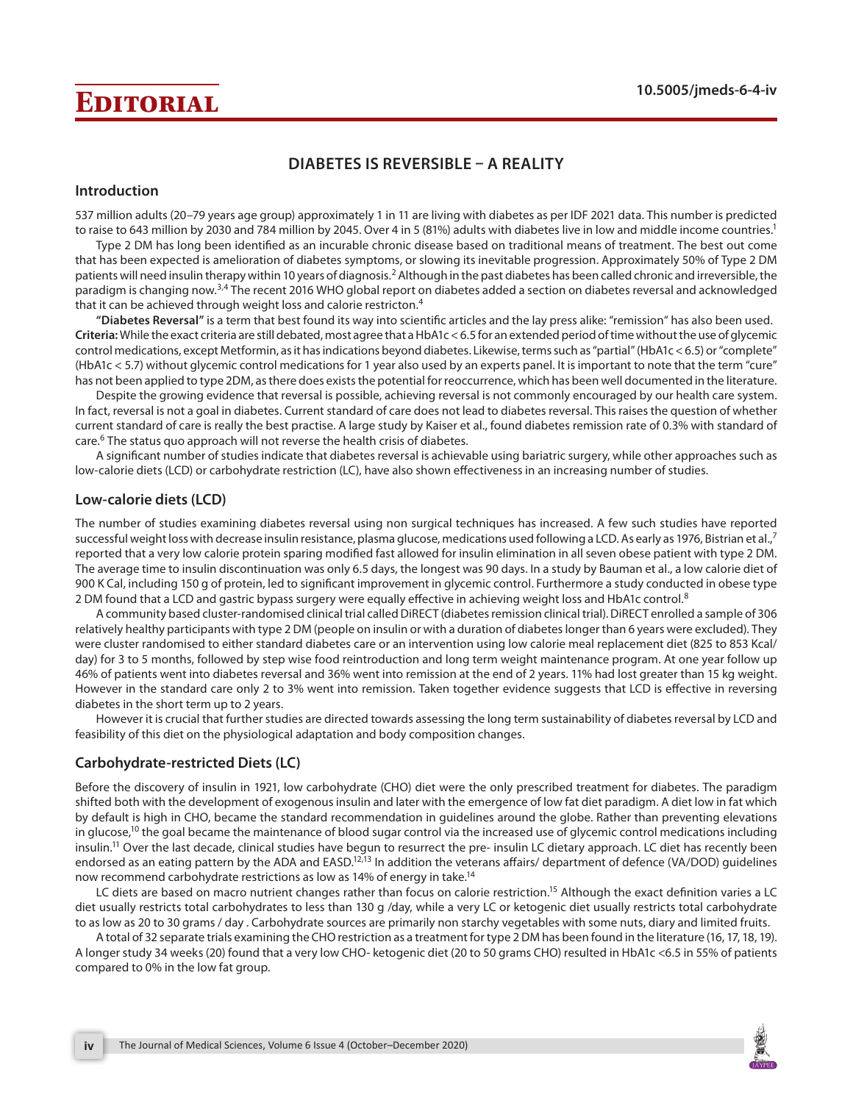# **Editorial 10.5005/jmeds-6-4-iv**

# **DIABETES IS REVERSIBLE – A REALITY**

### **Introduction**

537 million adults (20–79 years age group) approximately 1 in 11 are living with diabetes as per IDF 2021 data. This number is predicted to raise to 643 million by 2030 and 784 million by 2045. Over 4 in 5 (81%) adults with diabetes live in low and middle income countries.<sup>1</sup>

Type 2 DM has long been identified as an incurable chronic disease based on traditional means of treatment. The best out come that has been expected is amelioration of diabetes symptoms, or slowing its inevitable progression. Approximately 50% of Type 2 DM patients will need insulin therapy within 10 years of diagnosis.<sup>2</sup> Although in the past diabetes has been called chronic and irreversible, the paradigm is changing now.3,4 The recent 2016 WHO global report on diabetes added a section on diabetes reversal and acknowledged that it can be achieved through weight loss and calorie restricton.<sup>4</sup>

**"Diabetes Reversal"** is a term that best found its way into scientific articles and the lay press alike: "remission" has also been used. **Criteria:** While the exact criteria are still debated, most agree that a HbA1c < 6.5 for an extended period of time without the use of glycemic control medications, except Metformin, as it has indications beyond diabetes. Likewise, terms such as "partial" (HbA1c < 6.5) or "complete" (HbA1c < 5.7) without glycemic control medications for 1 year also used by an experts panel. It is important to note that the term "cure" has not been applied to type 2DM, as there does exists the potential for reoccurrence, which has been well documented in the literature.

Despite the growing evidence that reversal is possible, achieving reversal is not commonly encouraged by our health care system. In fact, reversal is not a goal in diabetes. Current standard of care does not lead to diabetes reversal. This raises the question of whether current standard of care is really the best practise. A large study by Kaiser et al., found diabetes remission rate of 0.3% with standard of care.6 The status quo approach will not reverse the health crisis of diabetes.

A significant number of studies indicate that diabetes reversal is achievable using bariatric surgery, while other approaches such as low-calorie diets (LCD) or carbohydrate restriction (LC), have also shown effectiveness in an increasing number of studies.

# **Low-calorie diets (LCD)**

The number of studies examining diabetes reversal using non surgical techniques has increased. A few such studies have reported successful weight loss with decrease insulin resistance, plasma glucose, medications used following a LCD. As early as 1976, Bistrian et al.,<sup>7</sup> reported that a very low calorie protein sparing modified fast allowed for insulin elimination in all seven obese patient with type 2 DM. The average time to insulin discontinuation was only 6.5 days, the longest was 90 days. In a study by Bauman et al., a low calorie diet of 900 K Cal, including 150 g of protein, led to significant improvement in glycemic control. Furthermore a study conducted in obese type 2 DM found that a LCD and gastric bypass surgery were equally effective in achieving weight loss and HbA1c control.<sup>8</sup>

A community based cluster-randomised clinical trial called DiRECT (diabetes remission clinical trial). DiRECT enrolled a sample of 306 relatively healthy participants with type 2 DM (people on insulin or with a duration of diabetes longer than 6 years were excluded). They were cluster randomised to either standard diabetes care or an intervention using low calorie meal replacement diet (825 to 853 Kcal/ day) for 3 to 5 months, followed by step wise food reintroduction and long term weight maintenance program. At one year follow up 46% of patients went into diabetes reversal and 36% went into remission at the end of 2 years. 11% had lost greater than 15 kg weight. However in the standard care only 2 to 3% went into remission. Taken together evidence suggests that LCD is effective in reversing diabetes in the short term up to 2 years.

However it is crucial that further studies are directed towards assessing the long term sustainability of diabetes reversal by LCD and feasibility of this diet on the physiological adaptation and body composition changes.

# **Carbohydrate-restricted Diets (LC)**

Before the discovery of insulin in 1921, low carbohydrate (CHO) diet were the only prescribed treatment for diabetes. The paradigm shifted both with the development of exogenous insulin and later with the emergence of low fat diet paradigm. A diet low in fat which by default is high in CHO, became the standard recommendation in guidelines around the globe. Rather than preventing elevations in glucose,<sup>10</sup> the goal became the maintenance of blood sugar control via the increased use of glycemic control medications including insulin.<sup>11</sup> Over the last decade, clinical studies have begun to resurrect the pre- insulin LC dietary approach. LC diet has recently been endorsed as an eating pattern by the ADA and EASD.<sup>12,13</sup> In addition the veterans affairs/ department of defence (VA/DOD) guidelines now recommend carbohydrate restrictions as low as 14% of energy in take.<sup>14</sup>

LC diets are based on macro nutrient changes rather than focus on calorie restriction.<sup>15</sup> Although the exact definition varies a LC diet usually restricts total carbohydrates to less than 130 g /day, while a very LC or ketogenic diet usually restricts total carbohydrate to as low as 20 to 30 grams / day . Carbohydrate sources are primarily non starchy vegetables with some nuts, diary and limited fruits.

A total of 32 separate trials examining the CHO restriction as a treatment for type 2 DM has been found in the literature (16, 17, 18, 19). A longer study 34 weeks (20) found that a very low CHO- ketogenic diet (20 to 50 grams CHO) resulted in HbA1c <6.5 in 55% of patients compared to 0% in the low fat group.